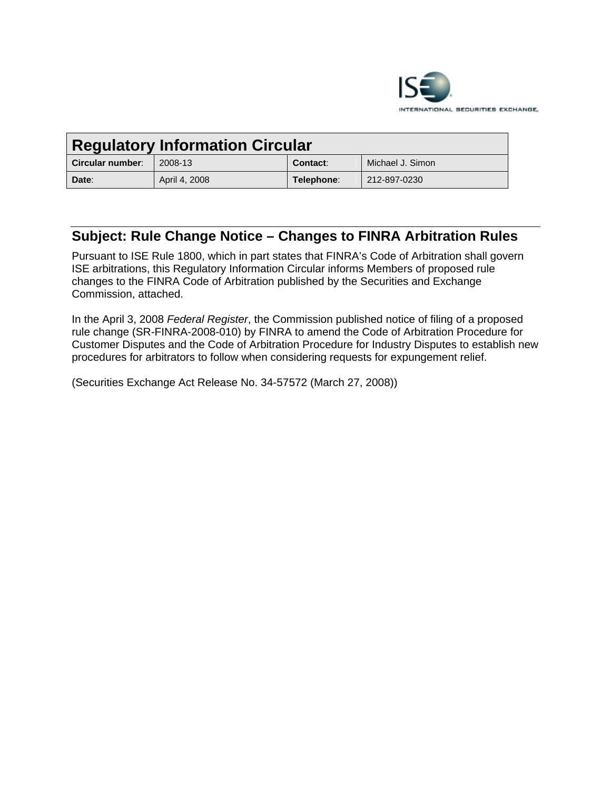

| <b>Regulatory Information Circular</b> |               |            |                  |
|----------------------------------------|---------------|------------|------------------|
| Circular number:                       | 2008-13       | Contact:   | Michael J. Simon |
| Date:                                  | April 4, 2008 | Telephone: | 212-897-0230     |

# **Subject: Rule Change Notice – Changes to FINRA Arbitration Rules**

Pursuant to ISE Rule 1800, which in part states that FINRA's Code of Arbitration shall govern ISE arbitrations, this Regulatory Information Circular informs Members of proposed rule changes to the FINRA Code of Arbitration published by the Securities and Exchange Commission, attached.

In the April 3, 2008 *Federal Register*, the Commission published notice of filing of a proposed rule change (SR-FINRA-2008-010) by FINRA to amend the Code of Arbitration Procedure for Customer Disputes and the Code of Arbitration Procedure for Industry Disputes to establish new procedures for arbitrators to follow when considering requests for expungement relief.

(Securities Exchange Act Release No. 34-57572 (March 27, 2008))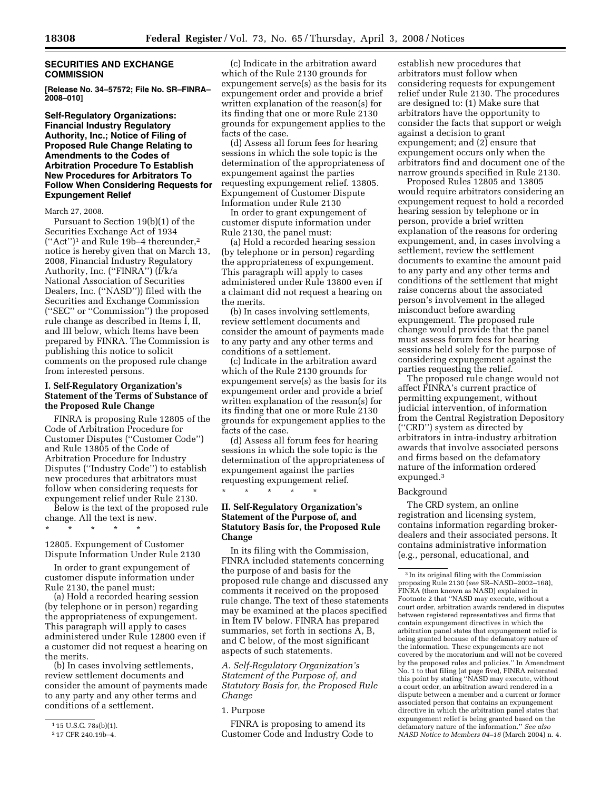# **SECURITIES AND EXCHANGE COMMISSION**

**[Release No. 34–57572; File No. SR–FINRA– 2008–010]** 

# **Self-Regulatory Organizations: Financial Industry Regulatory Authority, Inc.; Notice of Filing of Proposed Rule Change Relating to Amendments to the Codes of Arbitration Procedure To Establish New Procedures for Arbitrators To Follow When Considering Requests for Expungement Relief**

#### March 27, 2008.

Pursuant to Section 19(b)(1) of the Securities Exchange Act of 1934 (''Act'')1 and Rule 19b–4 thereunder,2 notice is hereby given that on March 13, 2008, Financial Industry Regulatory Authority, Inc. (''FINRA'') (f/k/a National Association of Securities Dealers, Inc. (''NASD'')) filed with the Securities and Exchange Commission (''SEC'' or ''Commission'') the proposed rule change as described in Items I, II, and III below, which Items have been prepared by FINRA. The Commission is publishing this notice to solicit comments on the proposed rule change from interested persons.

#### **I. Self-Regulatory Organization's Statement of the Terms of Substance of the Proposed Rule Change**

FINRA is proposing Rule 12805 of the Code of Arbitration Procedure for Customer Disputes (''Customer Code'') and Rule 13805 of the Code of Arbitration Procedure for Industry Disputes (''Industry Code'') to establish new procedures that arbitrators must follow when considering requests for expungement relief under Rule 2130.

Below is the text of the proposed rule change. All the text is new.

\* \* \* \* \*

12805. Expungement of Customer Dispute Information Under Rule 2130

In order to grant expungement of customer dispute information under Rule 2130, the panel must:

(a) Hold a recorded hearing session (by telephone or in person) regarding the appropriateness of expungement. This paragraph will apply to cases administered under Rule 12800 even if a customer did not request a hearing on the merits.

(b) In cases involving settlements, review settlement documents and consider the amount of payments made to any party and any other terms and conditions of a settlement.

(c) Indicate in the arbitration award which of the Rule 2130 grounds for expungement serve(s) as the basis for its expungement order and provide a brief written explanation of the reason(s) for its finding that one or more Rule 2130 grounds for expungement applies to the facts of the case.

(d) Assess all forum fees for hearing sessions in which the sole topic is the determination of the appropriateness of expungement against the parties requesting expungement relief. 13805. Expungement of Customer Dispute Information under Rule 2130

In order to grant expungement of customer dispute information under Rule 2130, the panel must:

(a) Hold a recorded hearing session (by telephone or in person) regarding the appropriateness of expungement. This paragraph will apply to cases administered under Rule 13800 even if a claimant did not request a hearing on the merits.

(b) In cases involving settlements, review settlement documents and consider the amount of payments made to any party and any other terms and conditions of a settlement.

(c) Indicate in the arbitration award which of the Rule 2130 grounds for expungement serve(s) as the basis for its expungement order and provide a brief written explanation of the reason(s) for its finding that one or more Rule 2130 grounds for expungement applies to the facts of the case.

(d) Assess all forum fees for hearing sessions in which the sole topic is the determination of the appropriateness of expungement against the parties requesting expungement relief. \* \* \* \* \*

# **II. Self-Regulatory Organization's Statement of the Purpose of, and Statutory Basis for, the Proposed Rule Change**

In its filing with the Commission, FINRA included statements concerning the purpose of and basis for the proposed rule change and discussed any comments it received on the proposed rule change. The text of these statements may be examined at the places specified in Item IV below. FINRA has prepared summaries, set forth in sections A, B, and C below, of the most significant aspects of such statements.

*A. Self-Regulatory Organization's Statement of the Purpose of, and Statutory Basis for, the Proposed Rule Change* 

FINRA is proposing to amend its Customer Code and Industry Code to

establish new procedures that arbitrators must follow when considering requests for expungement relief under Rule 2130. The procedures are designed to: (1) Make sure that arbitrators have the opportunity to consider the facts that support or weigh against a decision to grant expungement; and (2) ensure that expungement occurs only when the arbitrators find and document one of the narrow grounds specified in Rule 2130.

Proposed Rules 12805 and 13805 would require arbitrators considering an expungement request to hold a recorded hearing session by telephone or in person, provide a brief written explanation of the reasons for ordering expungement, and, in cases involving a settlement, review the settlement documents to examine the amount paid to any party and any other terms and conditions of the settlement that might raise concerns about the associated person's involvement in the alleged misconduct before awarding expungement. The proposed rule change would provide that the panel must assess forum fees for hearing sessions held solely for the purpose of considering expungement against the parties requesting the relief.

The proposed rule change would not affect FINRA's current practice of permitting expungement, without judicial intervention, of information from the Central Registration Depository (''CRD'') system as directed by arbitrators in intra-industry arbitration awards that involve associated persons and firms based on the defamatory nature of the information ordered expunged.3

#### Background

The CRD system, an online registration and licensing system, contains information regarding brokerdealers and their associated persons. It contains administrative information (e.g., personal, educational, and

 $115$  U.S.C. 78s(b)(1).

<sup>2</sup> 17 CFR 240.19b–4.

<sup>1.</sup> Purpose

<sup>3</sup> In its original filing with the Commission proposing Rule 2130 (*see* SR–NASD–2002–168), FINRA (then known as NASD) explained in Footnote 2 that ''NASD may execute, without a court order, arbitration awards rendered in disputes between registered representatives and firms that contain expungement directives in which the arbitration panel states that expungement relief is being granted because of the defamatory nature of the information. These expungements are not covered by the moratorium and will not be covered by the proposed rules and policies.'' In Amendment No. 1 to that filing (at page five), FINRA reiterated this point by stating ''NASD may execute, without a court order, an arbitration award rendered in a dispute between a member and a current or former associated person that contains an expungement directive in which the arbitration panel states that expungement relief is being granted based on the defamatory nature of the information.'' *See also NASD Notice to Members 04–16* (March 2004) n. 4.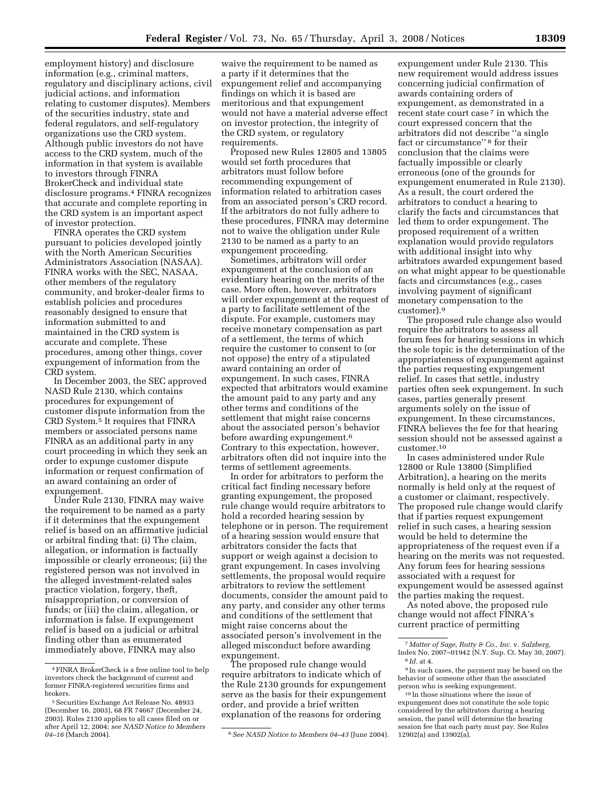employment history) and disclosure information (e.g., criminal matters, regulatory and disciplinary actions, civil judicial actions, and information relating to customer disputes). Members of the securities industry, state and federal regulators, and self-regulatory organizations use the CRD system. Although public investors do not have access to the CRD system, much of the information in that system is available to investors through FINRA BrokerCheck and individual state disclosure programs.4 FINRA recognizes that accurate and complete reporting in the CRD system is an important aspect of investor protection.

FINRA operates the CRD system pursuant to policies developed jointly with the North American Securities Administrators Association (NASAA). FINRA works with the SEC, NASAA, other members of the regulatory community, and broker-dealer firms to establish policies and procedures reasonably designed to ensure that information submitted to and maintained in the CRD system is accurate and complete. These procedures, among other things, cover expungement of information from the CRD system.

In December 2003, the SEC approved NASD Rule 2130, which contains procedures for expungement of customer dispute information from the CRD System.5 It requires that FINRA members or associated persons name FINRA as an additional party in any court proceeding in which they seek an order to expunge customer dispute information or request confirmation of an award containing an order of expungement.

Under Rule 2130, FINRA may waive the requirement to be named as a party if it determines that the expungement relief is based on an affirmative judicial or arbitral finding that: (i) The claim, allegation, or information is factually impossible or clearly erroneous; (ii) the registered person was not involved in the alleged investment-related sales practice violation, forgery, theft, misappropriation, or conversion of funds; or (iii) the claim, allegation, or information is false. If expungement relief is based on a judicial or arbitral finding other than as enumerated immediately above, FINRA may also

waive the requirement to be named as a party if it determines that the expungement relief and accompanying findings on which it is based are meritorious and that expungement would not have a material adverse effect on investor protection, the integrity of the CRD system, or regulatory requirements.

Proposed new Rules 12805 and 13805 would set forth procedures that arbitrators must follow before recommending expungement of information related to arbitration cases from an associated person's CRD record. If the arbitrators do not fully adhere to these procedures, FINRA may determine not to waive the obligation under Rule 2130 to be named as a party to an expungement proceeding.

Sometimes, arbitrators will order expungement at the conclusion of an evidentiary hearing on the merits of the case. More often, however, arbitrators will order expungement at the request of a party to facilitate settlement of the dispute. For example, customers may receive monetary compensation as part of a settlement, the terms of which require the customer to consent to (or not oppose) the entry of a stipulated award containing an order of expungement. In such cases, FINRA expected that arbitrators would examine the amount paid to any party and any other terms and conditions of the settlement that might raise concerns about the associated person's behavior before awarding expungement.<sup>6</sup> Contrary to this expectation, however, arbitrators often did not inquire into the terms of settlement agreements.

In order for arbitrators to perform the critical fact finding necessary before granting expungement, the proposed rule change would require arbitrators to hold a recorded hearing session by telephone or in person. The requirement of a hearing session would ensure that arbitrators consider the facts that support or weigh against a decision to grant expungement. In cases involving settlements, the proposal would require arbitrators to review the settlement documents, consider the amount paid to any party, and consider any other terms and conditions of the settlement that might raise concerns about the associated person's involvement in the alleged misconduct before awarding expungement.

The proposed rule change would require arbitrators to indicate which of the Rule 2130 grounds for expungement serve as the basis for their expungement order, and provide a brief written explanation of the reasons for ordering

expungement under Rule 2130. This new requirement would address issues concerning judicial confirmation of awards containing orders of expungement, as demonstrated in a recent state court case<sup>7</sup> in which the court expressed concern that the arbitrators did not describe ''a single fact or circumstance'' 8 for their conclusion that the claims were factually impossible or clearly erroneous (one of the grounds for expungement enumerated in Rule 2130). As a result, the court ordered the arbitrators to conduct a hearing to clarify the facts and circumstances that led them to order expungement. The proposed requirement of a written explanation would provide regulators with additional insight into why arbitrators awarded expungement based on what might appear to be questionable facts and circumstances (e.g., cases involving payment of significant monetary compensation to the customer).9

The proposed rule change also would require the arbitrators to assess all forum fees for hearing sessions in which the sole topic is the determination of the appropriateness of expungement against the parties requesting expungement relief. In cases that settle, industry parties often seek expungement. In such cases, parties generally present arguments solely on the issue of expungement. In these circumstances, FINRA believes the fee for that hearing session should not be assessed against a customer.10

In cases administered under Rule 12800 or Rule 13800 (Simplified Arbitration), a hearing on the merits normally is held only at the request of a customer or claimant, respectively. The proposed rule change would clarify that if parties request expungement relief in such cases, a hearing session would be held to determine the appropriateness of the request even if a hearing on the merits was not requested. Any forum fees for hearing sessions associated with a request for expungement would be assessed against the parties making the request.

As noted above, the proposed rule change would not affect FINRA's current practice of permitting

<sup>4</sup>FINRA BrokerCheck is a free online tool to help investors check the background of current and former FINRA-registered securities firms and brokers.

<sup>5</sup>Securities Exchange Act Release No. 48933 (December 16, 2003), 68 FR 74667 (December 24, 2003). Rules 2130 applies to all cases filed on or after April 12, 2004; *see NASD Notice to Members* 

<sup>&</sup>lt;sup>6</sup> See NASD Notice to Members 04–43 (June 2004).

<sup>7</sup> *Matter of Sage, Rutty & Co., Inc.* v. *Salzberg,*  Index No. 2007–01942 (N.Y. Sup. Ct. May 30, 2007). 8 *Id.* at 4.

<sup>9</sup> In such cases, the payment may be based on the behavior of someone other than the associated person who is seeking expungement.

<sup>10</sup> In those situations where the issue of expungement does not constitute the sole topic considered by the arbitrators during a hearing session, the panel will determine the hearing session fee that each party must pay. See Rules 12902(a) and 13902(a).